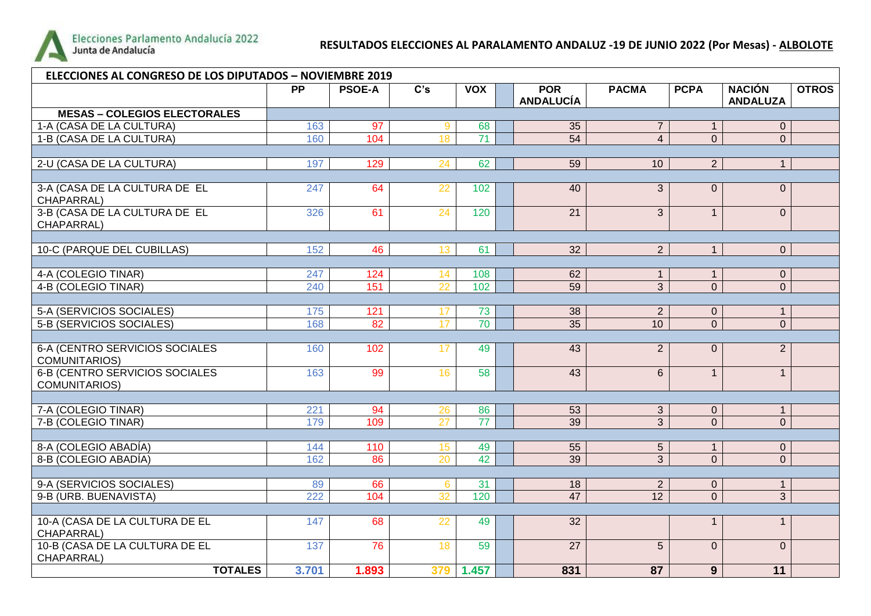

## **RESULTADOS ELECCIONES AL PARALAMENTO ANDALUZ -19 DE JUNIO 2022 (Por Mesas) - ALBOLOTE**

| <b>ELECCIONES AL CONGRESO DE LOS DIPUTADOS - NOVIEMBRE 2019</b> |                 |               |                   |            |                                |                 |                |                                  |              |
|-----------------------------------------------------------------|-----------------|---------------|-------------------|------------|--------------------------------|-----------------|----------------|----------------------------------|--------------|
|                                                                 | $\overline{PP}$ | <b>PSOE-A</b> | $\overline{C}$ 's | <b>VOX</b> | <b>POR</b><br><b>ANDALUCÍA</b> | <b>PACMA</b>    | <b>PCPA</b>    | <b>NACIÓN</b><br><b>ANDALUZA</b> | <b>OTROS</b> |
| <b>MESAS - COLEGIOS ELECTORALES</b>                             |                 |               |                   |            |                                |                 |                |                                  |              |
| 1-A (CASA DE LA CULTURA)                                        | 163             | 97            | 9                 | 68         | 35                             | $\overline{7}$  | $\mathbf{1}$   | $\overline{0}$                   |              |
| 1-B (CASA DE LA CULTURA)                                        | 160             | 104           | 18                | 71         | 54                             | $\overline{4}$  | $\overline{0}$ | $\overline{0}$                   |              |
|                                                                 |                 |               |                   |            |                                |                 |                |                                  |              |
| 2-U (CASA DE LA CULTURA)                                        | 197             | 129           | 24                | 62         | $\overline{59}$                | 10              | 2 <sup>1</sup> | $\mathbf{1}$                     |              |
|                                                                 |                 |               |                   |            |                                |                 |                |                                  |              |
| 3-A (CASA DE LA CULTURA DE EL<br>CHAPARRAL)                     | 247             | 64            | 22                | 102        | 40                             | 3               | $\overline{0}$ | $\overline{0}$                   |              |
| 3-B (CASA DE LA CULTURA DE EL<br>CHAPARRAL)                     | 326             | 61            | 24                | 120        | $\overline{21}$                | $\overline{3}$  | $\mathbf{1}$   | $\overline{0}$                   |              |
|                                                                 |                 |               |                   |            |                                |                 |                |                                  |              |
| 10-C (PARQUE DEL CUBILLAS)                                      | 152             | 46            | 13 <sup>°</sup>   | 61         | $\overline{32}$                | 2 <sup>1</sup>  | $\mathbf{1}$   | $\overline{0}$                   |              |
|                                                                 |                 |               |                   |            |                                |                 |                |                                  |              |
| 4-A (COLEGIO TINAR)                                             | 247             | 124           | 14                | 108        | 62                             | 1               | 1              | $\mathbf 0$                      |              |
| 4-B (COLEGIO TINAR)                                             | 240             | 151           | 22                | 102        | $\overline{59}$                | $\overline{3}$  | $\overline{0}$ | $\overline{0}$                   |              |
|                                                                 |                 |               |                   |            |                                |                 |                |                                  |              |
| 5-A (SERVICIOS SOCIALES)                                        | 175             | 121           | 17                | 73         | 38                             | 2 <sup>1</sup>  | $\overline{0}$ | $\mathbf{1}$                     |              |
| 5-B (SERVICIOS SOCIALES)                                        | 168             | 82            | 17 <sup>2</sup>   | 70         | $\overline{35}$                | 10 <sup>1</sup> | $\overline{0}$ | $\overline{0}$                   |              |
|                                                                 |                 |               |                   |            |                                |                 |                |                                  |              |
| 6-A (CENTRO SERVICIOS SOCIALES<br>COMUNITARIOS)                 | 160             | 102           | 17                | 49         | 43                             | $\overline{2}$  | $\Omega$       | $\overline{2}$                   |              |
| <b>6-B (CENTRO SERVICIOS SOCIALES)</b><br>COMUNITARIOS)         | 163             | 99            | 16                | 58         | 43                             | $\overline{6}$  | $\mathbf{1}$   | $\mathbf{1}$                     |              |
|                                                                 |                 |               |                   |            |                                |                 |                |                                  |              |
| 7-A (COLEGIO TINAR)                                             | 221             | 94            | 26                | 86         | 53                             | 3 <sup>1</sup>  | $\overline{0}$ | $\mathbf{1}$                     |              |
| 7-B (COLEGIO TINAR)                                             | 179             | 109           | $\overline{27}$   | 77         | $\overline{39}$                | $\overline{3}$  | $\overline{0}$ | $\overline{0}$                   |              |
|                                                                 |                 |               |                   |            |                                |                 |                |                                  |              |
| 8-A (COLEGIO ABADÍA)                                            | 144             | 110           | 15                | 49         | 55                             | 5               | $\mathbf{1}$   | $\overline{0}$                   |              |
| 8-B (COLEGIO ABADÍA)                                            | 162             | 86            | $\overline{20}$   | 42         | 39                             | $\overline{3}$  | $\overline{0}$ | $\overline{0}$                   |              |
|                                                                 |                 |               |                   |            |                                |                 |                |                                  |              |
| 9-A (SERVICIOS SOCIALES)                                        | 89              | 66            | $6\phantom{1}$    | 31         | 18                             | $\overline{2}$  | $\overline{0}$ | $\mathbf{1}$                     |              |
| 9-B (URB. BUENAVISTA)                                           | 222             | 104           | 32                | 120        | $\overline{47}$                | $\overline{12}$ | $\overline{0}$ | $\overline{3}$                   |              |
|                                                                 |                 |               |                   |            |                                |                 |                |                                  |              |
| 10-A (CASA DE LA CULTURA DE EL<br>CHAPARRAL)                    | 147             | 68            | 22                | 49         | 32                             |                 | $\mathbf{1}$   | $\mathbf{1}$                     |              |
| 10-B (CASA DE LA CULTURA DE EL<br>CHAPARRAL)                    | 137             | 76            | 18                | 59         | $\overline{27}$                | $\overline{5}$  | $\overline{0}$ | $\overline{0}$                   |              |
| <b>TOTALES</b>                                                  | 3.701           | 1.893         | 379               | 1.457      | 831                            | 87              | 9 <sup>°</sup> | 11                               |              |